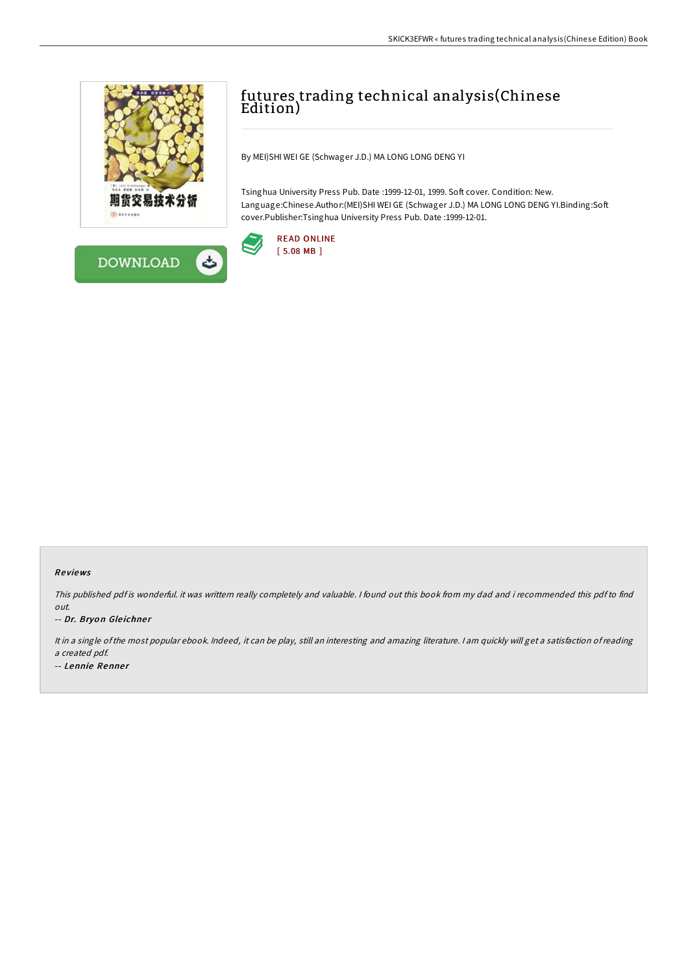

**DOWNLOAD** 

 $\rightarrow$ 



By MEI)SHI WEI GE (Schwager J.D.) MA LONG LONG DENG YI

Tsinghua University Press Pub. Date :1999-12-01, 1999. Soft cover. Condition: New. Language:Chinese.Author:(MEI)SHI WEI GE (Schwager J.D.) MA LONG LONG DENG YI.Binding:Soft cover.Publisher:Tsinghua University Press Pub. Date :1999-12-01.



## Re views

This published pdf is wonderful. it was writtern really completely and valuable. I found out this book from my dad and i recommended this pdf to find out.

-- Dr. Bryon Gleichner

It in <sup>a</sup> single ofthe most popular ebook. Indeed, it can be play, still an interesting and amazing literature. <sup>I</sup> am quickly will get <sup>a</sup> satisfaction ofreading <sup>a</sup> created pdf. -- Lennie Renner